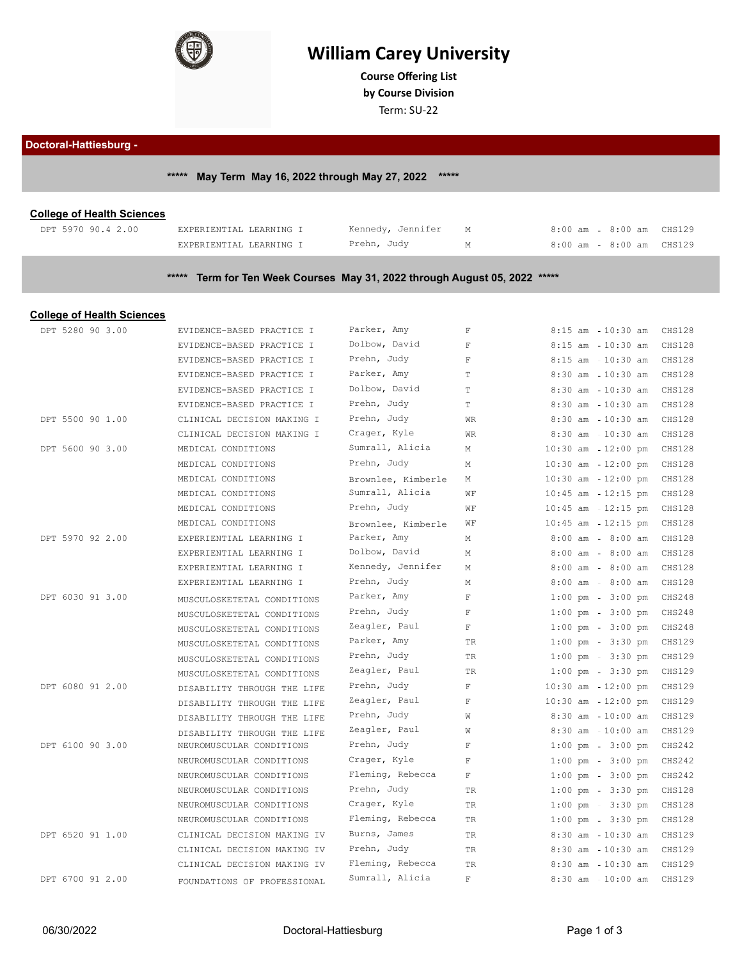

# **William Carey University**

**Course Ofering List**

**by Course Division**

Term: SU-22

#### **Doctoral-Hattiesburg -**

# **\*\*\*\*\* May Term May 16, 2022 through May 27, 2022 \*\*\*\*\***

### **College of Health Sciences**

| DPT 5970 90.4 2.00 | EXPERIENTIAL LEARNING I | Kennedy, Jennifer | 8:00 am   | 8:00 am | CHS129 |
|--------------------|-------------------------|-------------------|-----------|---------|--------|
|                    | EXPERIENTIAL LEARNING I | Prehn, Judy       | 8:00 am - | 8:00 am | CHS129 |

# **\*\*\*\*\* Term for Ten Week Courses May 31, 2022 through August 05, 2022 \*\*\*\*\***

### **College of Health Sciences**

| DPT 5280 90 3.00 | EVIDENCE-BASED PRACTICE I   | Parker, Amy        | $\mathbf F$             | $8:15$ am<br>$10:30$ am               | CHS128        |
|------------------|-----------------------------|--------------------|-------------------------|---------------------------------------|---------------|
|                  | EVIDENCE-BASED PRACTICE I   | Dolbow, David      | $\overline{\mathbf{F}}$ | $8:15$ am<br>$10:30$ am               | CHS128        |
|                  | EVIDENCE-BASED PRACTICE I   | Prehn, Judy        | $\mathbf F$             | 8:15 am - 10:30 am                    | CHS128        |
|                  | EVIDENCE-BASED PRACTICE I   | Parker, Amy        | $\mathbb T$             | $10:30$ am<br>$8:30$ am               | <b>CHS128</b> |
|                  | EVIDENCE-BASED PRACTICE I   | Dolbow, David      | T                       | $8:30$ am<br>$10:30$ am               | <b>CHS128</b> |
|                  | EVIDENCE-BASED PRACTICE I   | Prehn, Judy        | T                       | $8:30$ am $-10:30$ am                 | <b>CHS128</b> |
| DPT 5500 90 1.00 | CLINICAL DECISION MAKING I  | Prehn, Judy        | <b>WR</b>               | $8:30$ am<br>$10:30$ am               | CHS128        |
|                  | CLINICAL DECISION MAKING I  | Crager, Kyle       | <b>WR</b>               | $10:30$ am<br>$8:30$ am               | CHS128        |
| DPT 5600 90 3.00 | MEDICAL CONDITIONS          | Sumrall, Alicia    | М                       | $10:30$ am $-12:00$ pm                | <b>CHS128</b> |
|                  | MEDICAL CONDITIONS          | Prehn, Judy        | М                       | $10:30$ am<br>$12:00$ pm              | <b>CHS128</b> |
|                  | MEDICAL CONDITIONS          | Brownlee, Kimberle | М                       | $10:30$ am<br>$12:00$ pm              | <b>CHS128</b> |
|                  | MEDICAL CONDITIONS          | Sumrall, Alicia    | WF                      | $10:45$ am $-12:15$ pm                | <b>CHS128</b> |
|                  | MEDICAL CONDITIONS          | Prehn, Judy        | WF                      | $12:15$ pm<br>$10:45$ am              | CHS128        |
|                  | MEDICAL CONDITIONS          | Brownlee, Kimberle | WF                      | $10:45$ am<br>$12:15$ pm              | CHS128        |
| DPT 5970 92 2.00 | EXPERIENTIAL LEARNING I     | Parker, Amy        | М                       | $8:00$ am - $8:00$ am                 | CHS128        |
|                  | EXPERIENTIAL LEARNING I     | Dolbow, David      | М                       | $8:00$ am<br>$8:00$ am                | CHS128        |
|                  | EXPERIENTIAL LEARNING I     | Kennedy, Jennifer  | М                       | $8:00$ am<br>$8:00$ am                | CHS128        |
|                  | EXPERIENTIAL LEARNING I     | Prehn, Judy        | М                       | $8:00$ am - $8:00$ am                 | CHS128        |
| DPT 6030 91 3.00 | MUSCULOSKETETAL CONDITIONS  | Parker, Amy        | $\mathbb F$             | $3:00$ pm<br>$1:00$ pm                | <b>CHS248</b> |
|                  | MUSCULOSKETETAL CONDITIONS  | Prehn, Judy        | $\mathbf F$             | $1:00$ pm<br>$3:00$ pm                | <b>CHS248</b> |
|                  | MUSCULOSKETETAL CONDITIONS  | Zeagler, Paul      | $\mathbf F$             | $1:00 \text{ pm } - 3:00 \text{ pm }$ | <b>CHS248</b> |
|                  | MUSCULOSKETETAL CONDITIONS  | Parker, Amy        | TR                      | $1:00$ pm<br>$3:30$ pm                | CHS129        |
|                  | MUSCULOSKETETAL CONDITIONS  | Prehn, Judy        | <b>TR</b>               | $1:00$ pm<br>$3:30$ pm                | CHS129        |
|                  | MUSCULOSKETETAL CONDITIONS  | Zeagler, Paul      | <b>TR</b>               | $1:00 \text{ pm } - 3:30 \text{ pm }$ | CHS129        |
| DPT 6080 91 2.00 | DISABILITY THROUGH THE LIFE | Prehn, Judy        | $\mathbf{F}$            | $10:30$ am<br>$12:00$ pm              | <b>CHS129</b> |
|                  | DISABILITY THROUGH THE LIFE | Zeagler, Paul      | $\mathbf F$             | $10:30$ am<br>$12:00$ pm              | CHS129        |
|                  | DISABILITY THROUGH THE LIFE | Prehn, Judy        | W                       | $8:30$ am $-10:00$ am                 | CHS129        |
|                  | DISABILITY THROUGH THE LIFE | Zeagler, Paul      | W                       | $8:30$ am<br>$10:00$ am               | CHS129        |
| DPT 6100 90 3.00 | NEUROMUSCULAR CONDITIONS    | Prehn, Judy        | $\mathbf F$             | $1:00$ pm<br>$3:00$ pm                | CHS242        |
|                  | NEUROMUSCULAR CONDITIONS    | Crager, Kyle       | $\mathbf F$             | $1:00 \text{ pm } - 3:00 \text{ pm }$ | CHS242        |
|                  | NEUROMUSCULAR CONDITIONS    | Fleming, Rebecca   | $\mathbf F$             | $1:00$ pm<br>$3:00$ pm                | CHS242        |
|                  | NEUROMUSCULAR CONDITIONS    | Prehn, Judy        | TR                      | $1:00$ pm<br>$3:30$ pm                | CHS128        |
|                  | NEUROMUSCULAR CONDITIONS    | Crager, Kyle       | TR                      | $1:00 \text{ pm } - 3:30 \text{ pm }$ | CHS128        |
|                  | NEUROMUSCULAR CONDITIONS    | Fleming, Rebecca   | TR                      | $1:00$ pm<br>$3:30$ pm                | CHS128        |
| DPT 6520 91 1.00 | CLINICAL DECISION MAKING IV | Burns, James       | <b>TR</b>               | $8:30$ am<br>$10:30$ am               | CHS129        |
|                  | CLINICAL DECISION MAKING IV | Prehn, Judy        | TR                      | $8:30$ am $-10:30$ am                 | <b>CHS129</b> |
|                  | CLINICAL DECISION MAKING IV | Fleming, Rebecca   | <b>TR</b>               | $8:30$ am<br>$10:30$ am               | <b>CHS129</b> |
| DPT 6700 91 2.00 | FOUNDATIONS OF PROFESSIONAL | Sumrall, Alicia    | $\mathbf F$             | $8:30$ am<br>$10:00$ am               | <b>CHS129</b> |
|                  |                             |                    |                         |                                       |               |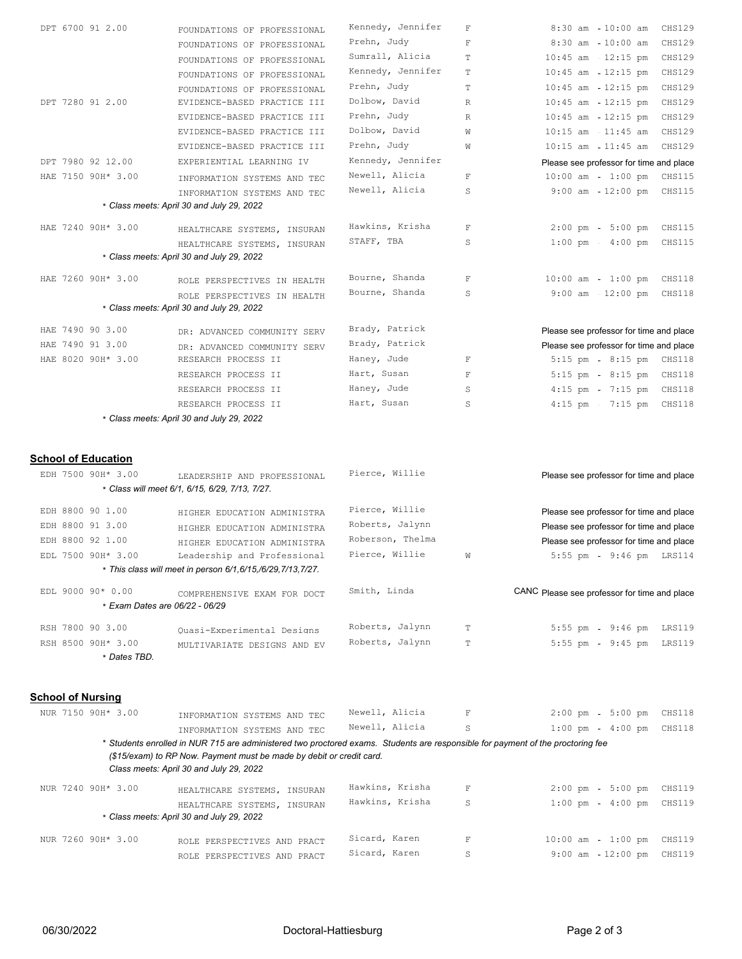|  |                                                  |                                                                                                                                                                                                                                                    | Kennedy, Jennifer |             |                                                 |
|--|--------------------------------------------------|----------------------------------------------------------------------------------------------------------------------------------------------------------------------------------------------------------------------------------------------------|-------------------|-------------|-------------------------------------------------|
|  | DPT 6700 91 2.00                                 | FOUNDATIONS OF PROFESSIONAL                                                                                                                                                                                                                        |                   | $\mathbf F$ | $8:30$ am<br>$10:00$ am<br><b>CHS129</b>        |
|  |                                                  | FOUNDATIONS OF PROFESSIONAL                                                                                                                                                                                                                        | Prehn, Judy       | $\mathbf F$ | $8:30$ am<br>$10:00$ am<br>CHS129               |
|  |                                                  | FOUNDATIONS OF PROFESSIONAL                                                                                                                                                                                                                        | Sumrall, Alicia   | T           | $10:45$ am $-12:15$ pm<br>CHS129                |
|  |                                                  | FOUNDATIONS OF PROFESSIONAL                                                                                                                                                                                                                        | Kennedy, Jennifer | T           | $10:45$ am<br>$12:15$ pm<br>CHS129              |
|  |                                                  | FOUNDATIONS OF PROFESSIONAL                                                                                                                                                                                                                        | Prehn, Judy       | T           | $10:45$ am<br>$12:15$ pm<br>CHS129              |
|  | DPT 7280 91 2.00                                 | EVIDENCE-BASED PRACTICE III                                                                                                                                                                                                                        | Dolbow, David     | R           | $10:45$ am $-12:15$ pm<br><b>CHS129</b>         |
|  |                                                  | EVIDENCE-BASED PRACTICE III                                                                                                                                                                                                                        | Prehn, Judy       | R           | $10:45$ am<br>$12:15$ pm<br>CHS129              |
|  |                                                  | EVIDENCE-BASED PRACTICE III                                                                                                                                                                                                                        | Dolbow, David     | W           | $10:15$ am<br>$11:45$ am<br>CHS129              |
|  |                                                  | EVIDENCE-BASED PRACTICE III                                                                                                                                                                                                                        | Prehn, Judy       | W           | $10:15$ am $-11:45$ am<br>CHS129                |
|  | DPT 7980 92 12.00                                | EXPERIENTIAL LEARNING IV                                                                                                                                                                                                                           | Kennedy, Jennifer |             | Please see professor for time and place         |
|  | HAE 7150 90H* 3.00                               | INFORMATION SYSTEMS AND TEC                                                                                                                                                                                                                        | Newell, Alicia    | $\mathbb F$ | $10:00$ am<br>1:00 pm CHS115                    |
|  |                                                  | INFORMATION SYSTEMS AND TEC                                                                                                                                                                                                                        | Newell, Alicia    | S           | $9:00$ am $-12:00$ pm<br>CHS115                 |
|  |                                                  | * Class meets: April 30 and July 29, 2022                                                                                                                                                                                                          |                   |             |                                                 |
|  | HAE 7240 90H* 3.00                               | HEALTHCARE SYSTEMS, INSURAN                                                                                                                                                                                                                        | Hawkins, Krisha   | $\mathbb F$ | $2:00 \text{ pm} - 5:00 \text{ pm}$<br>CHS115   |
|  |                                                  | HEALTHCARE SYSTEMS, INSURAN                                                                                                                                                                                                                        | STAFF, TBA        | S           | $1:00 \text{ pm } - 4:00 \text{ pm }$<br>CHS115 |
|  |                                                  | * Class meets: April 30 and July 29, 2022                                                                                                                                                                                                          |                   |             |                                                 |
|  | HAE 7260 90H* 3.00                               | ROLE PERSPECTIVES IN HEALTH                                                                                                                                                                                                                        | Bourne, Shanda    | $\mathbb F$ | $10:00$ am - $1:00$ pm<br>CHS118                |
|  |                                                  | ROLE PERSPECTIVES IN HEALTH                                                                                                                                                                                                                        | Bourne, Shanda    | S           | $9:00$ am $12:00$ pm<br>CHS118                  |
|  |                                                  | * Class meets: April 30 and July 29, 2022                                                                                                                                                                                                          |                   |             |                                                 |
|  | HAE 7490 90 3.00                                 | DR: ADVANCED COMMUNITY SERV                                                                                                                                                                                                                        | Brady, Patrick    |             | Please see professor for time and place         |
|  | HAE 7490 91 3.00                                 | DR: ADVANCED COMMUNITY SERV                                                                                                                                                                                                                        | Brady, Patrick    |             | Please see professor for time and place         |
|  | HAE 8020 90H* 3.00                               | RESEARCH PROCESS II                                                                                                                                                                                                                                | Haney, Jude       | $\mathbf F$ | 5:15 pm - 8:15 pm CHS118                        |
|  |                                                  | RESEARCH PROCESS II                                                                                                                                                                                                                                | Hart, Susan       | $\mathbf F$ | 5:15 pm - 8:15 pm CHS118                        |
|  |                                                  | RESEARCH PROCESS II                                                                                                                                                                                                                                | Haney, Jude       | S           | $4:15$ pm<br>7:15 pm CHS118                     |
|  |                                                  | RESEARCH PROCESS II                                                                                                                                                                                                                                | Hart, Susan       | S           | 4:15 pm - 7:15 pm CHS118                        |
|  |                                                  | * Class meets: April 30 and July 29, 2022                                                                                                                                                                                                          |                   |             |                                                 |
|  |                                                  |                                                                                                                                                                                                                                                    |                   |             |                                                 |
|  | <b>School of Education</b><br>EDH 7500 90H* 3.00 | LEADERSHIP AND PROFESSIONAL                                                                                                                                                                                                                        | Pierce, Willie    |             | Please see professor for time and place         |
|  |                                                  | * Class will meet 6/1, 6/15, 6/29, 7/13, 7/27.                                                                                                                                                                                                     |                   |             |                                                 |
|  | EDH 8800 90 1.00                                 | HIGHER EDUCATION ADMINISTRA                                                                                                                                                                                                                        | Pierce, Willie    |             | Please see professor for time and place         |
|  | EDH 8800 91 3.00                                 | HIGHER EDUCATION ADMINISTRA                                                                                                                                                                                                                        | Roberts, Jalynn   |             | Please see professor for time and place         |
|  | EDH 8800 92 1.00                                 | HIGHER EDUCATION ADMINISTRA                                                                                                                                                                                                                        | Roberson, Thelma  |             | Please see professor for time and place         |
|  | EDL 7500 90H* 3.00                               | Leadership and Professional                                                                                                                                                                                                                        | Pierce, Willie    | W           | 5:55 pm - 9:46 pm LRS114                        |
|  |                                                  | * This class will meet in person 6/1, 6/15, /6/29, 7/13, 7/27.                                                                                                                                                                                     |                   |             |                                                 |
|  | EDL 9000 90* 0.00                                | COMPREHENSIVE EXAM FOR DOCT                                                                                                                                                                                                                        | Smith, Linda      |             | CANC Please see professor for time and place    |
|  |                                                  | * Exam Dates are 06/22 - 06/29                                                                                                                                                                                                                     |                   |             |                                                 |
|  | RSH 7800 90 3.00                                 | Ouasi-Experimental Designs                                                                                                                                                                                                                         | Roberts, Jalynn   | T           | $5:55$ pm<br>9:46 pm LRS119                     |
|  | RSH 8500 90H* 3.00                               |                                                                                                                                                                                                                                                    | Roberts, Jalynn   | $\mathbf T$ | 5:55 pm - 9:45 pm LRS119                        |
|  | * Dates TBD.                                     | MULTIVARIATE DESIGNS AND EV                                                                                                                                                                                                                        |                   |             |                                                 |
|  |                                                  |                                                                                                                                                                                                                                                    |                   |             |                                                 |
|  | <b>School of Nursing</b>                         |                                                                                                                                                                                                                                                    |                   |             |                                                 |
|  | NUR 7150 90H* 3.00                               | INFORMATION SYSTEMS AND TEC                                                                                                                                                                                                                        | Newell, Alicia    | $\mathbb F$ | $2:00 \text{ pm} - 5:00 \text{ pm}$             |
|  |                                                  | INFORMATION SYSTEMS AND TEC                                                                                                                                                                                                                        | Newell, Alicia    | S           | CHS118<br>$1:00$ pm<br>$4:00$ pm<br>CHS118      |
|  |                                                  | * Students enrolled in NUR 715 are administered two proctored exams. Students are responsible for payment of the proctoring fee<br>(\$15/exam) to RP Now. Payment must be made by debit or credit card.<br>Class meets: April 30 and July 29, 2022 |                   |             |                                                 |
|  | NUR 7240 90H* 3.00                               | HEALTHCARE SYSTEMS, INSURAN                                                                                                                                                                                                                        | Hawkins, Krisha   | $\mathbf F$ | $2:00$ pm<br>$5:00$ pm<br>CHS119                |
|  |                                                  | HEALTHCARE SYSTEMS, INSURAN                                                                                                                                                                                                                        | Hawkins, Krisha   | S           | $1:00$ pm<br>$4:00$ pm<br>CHS119                |
|  |                                                  | * Class meets: April 30 and July 29, 2022                                                                                                                                                                                                          |                   |             |                                                 |
|  | NUR 7260 90H* 3.00                               | ROLE PERSPECTIVES AND PRACT                                                                                                                                                                                                                        | Sicard, Karen     | $\mathbf F$ | $10:00$ am<br>$1:00 \text{ pm}$ CHS119          |